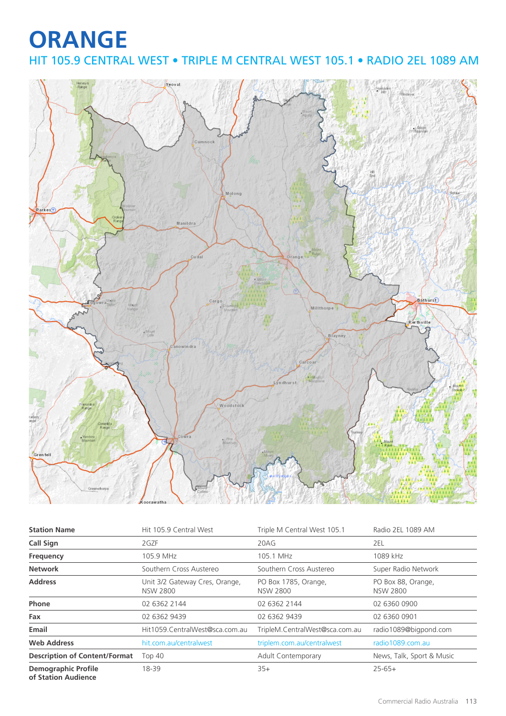## **ORANGE** HIT 105.9 CENTRAL WEST • TRIPLE M CENTRAL WEST 105.1 • RADIO 2EL 1089 AM



| <b>Station Name</b>                               | Hit 105.9 Central West                            | Triple M Central West 105.1             | Radio 2EL 1089 AM                     |
|---------------------------------------------------|---------------------------------------------------|-----------------------------------------|---------------------------------------|
| <b>Call Sign</b>                                  | 2GZF                                              | 20AG                                    | 2EL                                   |
| Frequency                                         | 105.9 MHz                                         | 105.1 MHz                               | 1089 kHz                              |
| <b>Network</b>                                    | Southern Cross Austereo                           | Southern Cross Austereo                 | Super Radio Network                   |
| <b>Address</b>                                    | Unit 3/2 Gateway Cres, Orange,<br><b>NSW 2800</b> | PO Box 1785, Orange,<br><b>NSW 2800</b> | PO Box 88, Orange,<br><b>NSW 2800</b> |
| Phone                                             | 02 6362 2144                                      | 02 6362 2144                            | 02 6360 0900                          |
| Fax                                               | 02 6362 9439                                      | 02 6362 9439                            | 02 6360 0901                          |
| Email                                             | Hit1059.CentralWest@sca.com.au                    | TripleM.CentralWest@sca.com.au          | radio1089@bigpond.com                 |
| <b>Web Address</b>                                | hit.com.au/centralwest                            | triplem.com.au/centralwest              | radio1089.com.au                      |
| <b>Description of Content/Format</b>              | Top 40                                            | Adult Contemporary                      | News, Talk, Sport & Music             |
| <b>Demographic Profile</b><br>of Station Audience | 18-39                                             | $35+$                                   | $25 - 65 +$                           |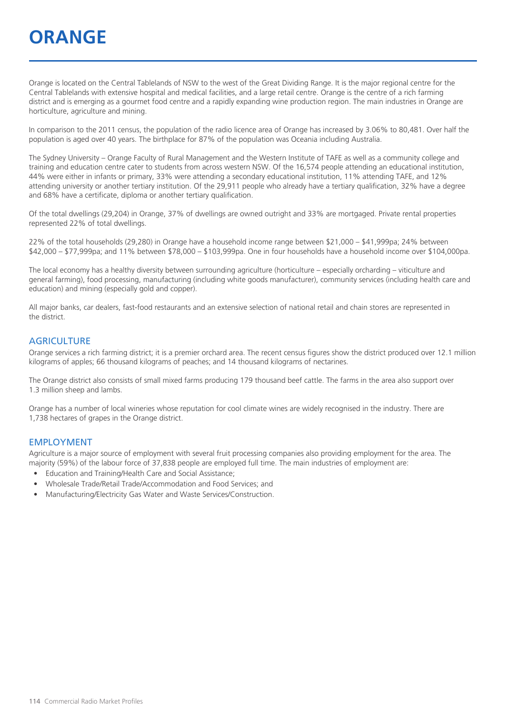## **ORANGE**

Orange is located on the Central Tablelands of NSW to the west of the Great Dividing Range. It is the major regional centre for the Central Tablelands with extensive hospital and medical facilities, and a large retail centre. Orange is the centre of a rich farming district and is emerging as a gourmet food centre and a rapidly expanding wine production region. The main industries in Orange are horticulture, agriculture and mining.

In comparison to the 2011 census, the population of the radio licence area of Orange has increased by 3.06% to 80,481. Over half the population is aged over 40 years. The birthplace for 87% of the population was Oceania including Australia.

The Sydney University – Orange Faculty of Rural Management and the Western Institute of TAFE as well as a community college and training and education centre cater to students from across western NSW. Of the 16,574 people attending an educational institution, 44% were either in infants or primary, 33% were attending a secondary educational institution, 11% attending TAFE, and 12% attending university or another tertiary institution. Of the 29,911 people who already have a tertiary qualification, 32% have a degree and 68% have a certificate, diploma or another tertiary qualification.

Of the total dwellings (29,204) in Orange, 37% of dwellings are owned outright and 33% are mortgaged. Private rental properties represented 22% of total dwellings.

22% of the total households (29,280) in Orange have a household income range between \$21,000 – \$41,999pa; 24% between \$42,000 – \$77,999pa; and 11% between \$78,000 – \$103,999pa. One in four households have a household income over \$104,000pa.

The local economy has a healthy diversity between surrounding agriculture (horticulture – especially orcharding – viticulture and general farming), food processing, manufacturing (including white goods manufacturer), community services (including health care and education) and mining (especially gold and copper).

All major banks, car dealers, fast-food restaurants and an extensive selection of national retail and chain stores are represented in the district.

#### **AGRICULTURE**

Orange services a rich farming district; it is a premier orchard area. The recent census figures show the district produced over 12.1 million kilograms of apples; 66 thousand kilograms of peaches; and 14 thousand kilograms of nectarines.

The Orange district also consists of small mixed farms producing 179 thousand beef cattle. The farms in the area also support over 1.3 million sheep and lambs.

Orange has a number of local wineries whose reputation for cool climate wines are widely recognised in the industry. There are 1,738 hectares of grapes in the Orange district.

#### EMPLOYMENT

Agriculture is a major source of employment with several fruit processing companies also providing employment for the area. The majority (59%) of the labour force of 37,838 people are employed full time. The main industries of employment are:

- Education and Training/Health Care and Social Assistance;
- Wholesale Trade/Retail Trade/Accommodation and Food Services; and
- Manufacturing/Electricity Gas Water and Waste Services/Construction.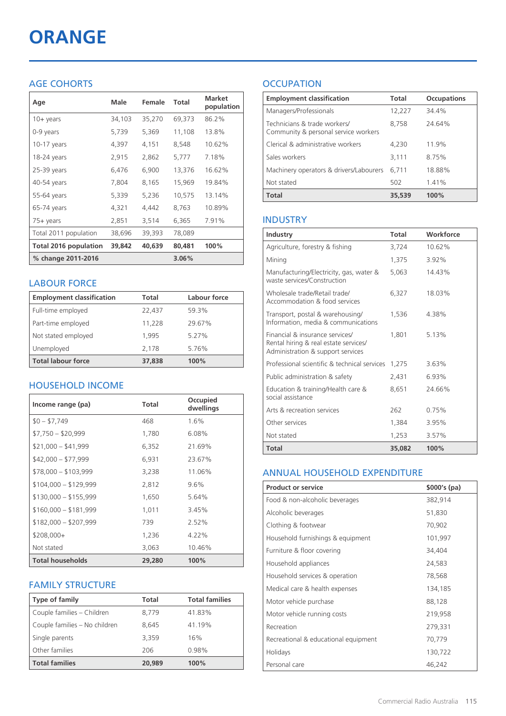# **ORANGE**

### AGE COHORTS

| Age                   | Male   | Female | Total    | <b>Market</b><br>population |
|-----------------------|--------|--------|----------|-----------------------------|
| $10 + \gamma$ ears    | 34,103 | 35,270 | 69,373   | 86.2%                       |
| 0-9 years             | 5,739  | 5,369  | 11,108   | 13.8%                       |
| 10-17 years           | 4,397  | 4,151  | 8,548    | 10.62%                      |
| 18-24 years           | 2,915  | 2,862  | 5,777    | 7.18%                       |
| 25-39 years           | 6,476  | 6,900  | 13,376   | 16.62%                      |
| 40-54 years           | 7,804  | 8,165  | 15,969   | 19.84%                      |
| 55-64 years           | 5,339  | 5,236  | 10,575   | 13.14%                      |
| 65-74 years           | 4,321  | 4,442  | 8,763    | 10.89%                      |
| 75+ years             | 2,851  | 3,514  | 6,365    | 7.91%                       |
| Total 2011 population | 38,696 | 39,393 | 78,089   |                             |
| Total 2016 population | 39,842 | 40,639 | 80,481   | 100%                        |
| % change 2011-2016    |        |        | $3.06\%$ |                             |

#### LABOUR FORCE

| <b>Employment classification</b> | Total  | <b>Labour force</b> |
|----------------------------------|--------|---------------------|
| Full-time employed               | 22,437 | 59.3%               |
| Part-time employed               | 11,228 | 29.67%              |
| Not stated employed              | 1.995  | 5.27%               |
| Unemployed                       | 2,178  | 5.76%               |
| <b>Total labour force</b>        | 37,838 | 100%                |

### HOUSEHOLD INCOME

| Income range (pa)       | Total  | Occupied<br>dwellings |
|-------------------------|--------|-----------------------|
| $$0 - $7,749$           | 468    | 1.6%                  |
| $$7,750 - $20,999$      | 1,780  | 6.08%                 |
| $$21,000 - $41,999$     | 6,352  | 21.69%                |
| $$42,000 - $77,999$     | 6,931  | 23.67%                |
| $$78,000 - $103,999$    | 3,238  | 11.06%                |
| $$104,000 - $129,999$   | 2,812  | $9.6\%$               |
| $$130,000 - $155,999$   | 1,650  | 5.64%                 |
| $$160,000 - $181,999$   | 1,011  | 3.45%                 |
| $$182,000 - $207,999$   | 739    | 2.52%                 |
| $$208,000+$             | 1,236  | $4.22\%$              |
| Not stated              | 3,063  | 10.46%                |
| <b>Total households</b> | 29,280 | 100%                  |

#### FAMILY STRUCTURE

| Type of family                | Total  | <b>Total families</b> |
|-------------------------------|--------|-----------------------|
| Couple families - Children    | 8.779  | 41.83%                |
| Couple families - No children | 8.645  | 41.19%                |
| Single parents                | 3.359  | 16%                   |
| Other families                | 206    | 0.98%                 |
| <b>Total families</b>         | 20,989 | 100%                  |

### **OCCUPATION**

| <b>Employment classification</b>                                     | Total  | <b>Occupations</b> |
|----------------------------------------------------------------------|--------|--------------------|
| Managers/Professionals                                               | 12,227 | 34.4%              |
| Technicians & trade workers/<br>Community & personal service workers | 8,758  | 24.64%             |
| Clerical & administrative workers                                    | 4,230  | 11.9%              |
| Sales workers                                                        | 3,111  | 8.75%              |
| Machinery operators & drivers/Labourers                              | 6.711  | 18.88%             |
| Not stated                                                           | 502    | 1.41%              |
| <b>Total</b>                                                         | 35,539 | 100%               |

#### INDUSTRY

| Industry                                                                                                      | Total  | Workforce |
|---------------------------------------------------------------------------------------------------------------|--------|-----------|
| Agriculture, forestry & fishing                                                                               | 3,724  | 10.62%    |
| Mining                                                                                                        | 1,375  | 3.92%     |
| Manufacturing/Electricity, gas, water &<br>waste services/Construction                                        | 5,063  | 14.43%    |
| Wholesale trade/Retail trade/<br>Accommodation & food services                                                | 6,327  | 18.03%    |
| Transport, postal & warehousing/<br>Information, media & communications                                       | 1,536  | 4.38%     |
| Financial & insurance services/<br>Rental hiring & real estate services/<br>Administration & support services | 1.801  | 5.13%     |
| Professional scientific & technical services                                                                  | 1,275  | 3.63%     |
| Public administration & safety                                                                                | 2,431  | 6.93%     |
| Education & training/Health care &<br>social assistance                                                       | 8,651  | 24.66%    |
| Arts & recreation services                                                                                    | 262    | 0.75%     |
| Other services                                                                                                | 1,384  | 3.95%     |
| Not stated                                                                                                    | 1,253  | 3.57%     |
| Total                                                                                                         | 35,082 | 100%      |

#### ANNUAL HOUSEHOLD EXPENDITURE

| <b>Product or service</b>            | $$000's$ (pa) |
|--------------------------------------|---------------|
| Food & non-alcoholic beverages       | 382,914       |
| Alcoholic beverages                  | 51,830        |
| Clothing & footwear                  | 70,902        |
| Household furnishings & equipment    | 101,997       |
| Furniture & floor covering           | 34,404        |
| Household appliances                 | 24,583        |
| Household services & operation       | 78,568        |
| Medical care & health expenses       | 134,185       |
| Motor vehicle purchase               | 88,128        |
| Motor vehicle running costs          | 219,958       |
| Recreation                           | 279,331       |
| Recreational & educational equipment | 70,779        |
| Holidays                             | 130,722       |
| Personal care                        | 46,242        |